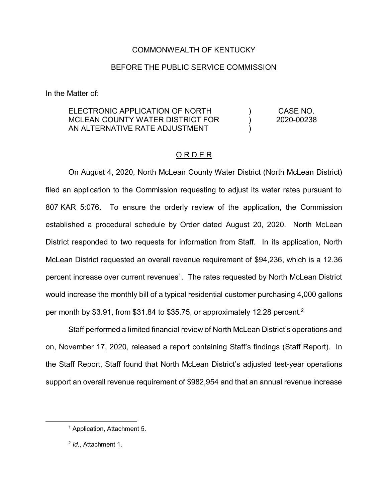#### COMMONWEALTH OF KENTUCKY

#### BEFORE THE PUBLIC SERVICE COMMISSION

In the Matter of:

#### ELECTRONIC APPLICATION OF NORTH MCLEAN COUNTY WATER DISTRICT FOR AN ALTERNATIVE RATE ADJUSTMENT  $\lambda$ ) ) CASE NO. 2020-00238

#### O R D E R

On August 4, 2020, North McLean County Water District (North McLean District) filed an application to the Commission requesting to adjust its water rates pursuant to 807 KAR 5:076. To ensure the orderly review of the application, the Commission established a procedural schedule by Order dated August 20, 2020. North McLean District responded to two requests for information from Staff. In its application, North McLean District requested an overall revenue requirement of \$94,236, which is a 12.36 percent increase over current revenues<sup>1</sup>. The rates requested by North McLean District would increase the monthly bill of a typical residential customer purchasing 4,000 gallons per month by \$3.91, from \$31.84 to \$35.75, or approximately 12.28 percent.2

Staff performed a limited financial review of North McLean District's operations and on, November 17, 2020, released a report containing Staff's findings (Staff Report). In the Staff Report, Staff found that North McLean District's adjusted test-year operations support an overall revenue requirement of \$982,954 and that an annual revenue increase

 <sup>1</sup> Application, Attachment 5.

<sup>2</sup> *Id*., Attachment 1.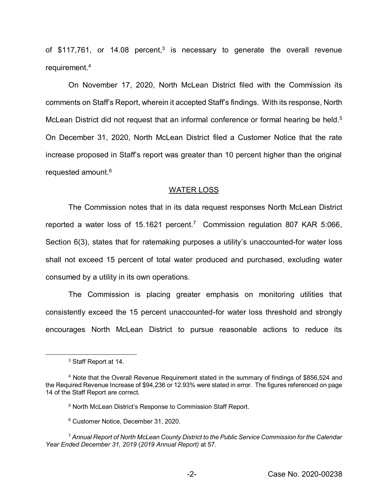of  $$117,761$ , or  $14.08$  percent,<sup>3</sup> is necessary to generate the overall revenue requirement.4

On November 17, 2020, North McLean District filed with the Commission its comments on Staff's Report, wherein it accepted Staff's findings. With its response, North McLean District did not request that an informal conference or formal hearing be held.<sup>5</sup> On December 31, 2020, North McLean District filed a Customer Notice that the rate increase proposed in Staff's report was greater than 10 percent higher than the original requested amount.6

#### WATER LOSS

The Commission notes that in its data request responses North McLean District reported a water loss of 15.1621 percent.<sup>7</sup> Commission regulation 807 KAR 5:066, Section 6(3), states that for ratemaking purposes a utility's unaccounted-for water loss shall not exceed 15 percent of total water produced and purchased, excluding water consumed by a utility in its own operations.

The Commission is placing greater emphasis on monitoring utilities that consistently exceed the 15 percent unaccounted-for water loss threshold and strongly encourages North McLean District to pursue reasonable actions to reduce its

 <sup>3</sup> Staff Report at 14.

<sup>4</sup> Note that the Overall Revenue Requirement stated in the summary of findings of \$856,524 and the Required Revenue Increase of \$94,236 or 12.93% were stated in error. The figures referenced on page 14 of the Staff Report are correct.

<sup>5</sup> North McLean District's Response to Commission Staff Report.

<sup>6</sup> Customer Notice, December 31, 2020.

<sup>7</sup> *Annual Report of North McLean County District to the Public Service Commission for the Calendar Year Ended December 31, 2019* (*2019 Annual Report)* at 57.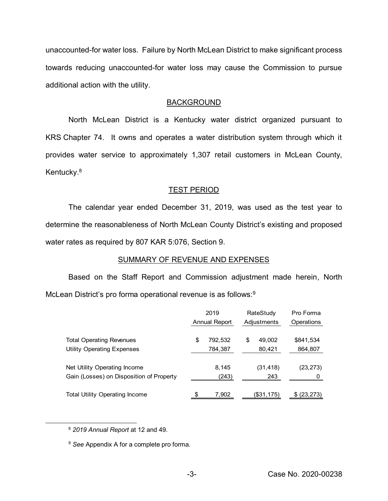unaccounted-for water loss. Failure by North McLean District to make significant process towards reducing unaccounted-for water loss may cause the Commission to pursue additional action with the utility.

#### BACKGROUND

North McLean District is a Kentucky water district organized pursuant to KRS Chapter 74. It owns and operates a water distribution system through which it provides water service to approximately 1,307 retail customers in McLean County, Kentucky. 8

## TEST PERIOD

The calendar year ended December 31, 2019, was used as the test year to determine the reasonableness of North McLean County District's existing and proposed water rates as required by 807 KAR 5:076, Section 9.

#### SUMMARY OF REVENUE AND EXPENSES

Based on the Staff Report and Commission adjustment made herein, North McLean District's pro forma operational revenue is as follows:<sup>9</sup>

|                                          | 2019 |               | RateStudy |             | Pro Forma  |  |
|------------------------------------------|------|---------------|-----------|-------------|------------|--|
|                                          |      | Annual Report |           | Adjustments | Operations |  |
| <b>Total Operating Revenues</b>          | \$   | 792,532       | \$        | 49,002      | \$841,534  |  |
| <b>Utility Operating Expenses</b>        |      | 784,387       |           | 80,421      | 864,807    |  |
| Net Utility Operating Income             |      | 8,145         |           | (31, 418)   | (23, 273)  |  |
| Gain (Losses) on Disposition of Property |      | (243)         |           | 243         | 0          |  |
| <b>Total Utility Operating Income</b>    |      | 7,902         |           | (\$31,175)  | (23, 273)  |  |

8 *<sup>2019</sup> Annual Report* at 12 and 49.

<sup>9</sup> *See* Appendix A for a complete pro forma.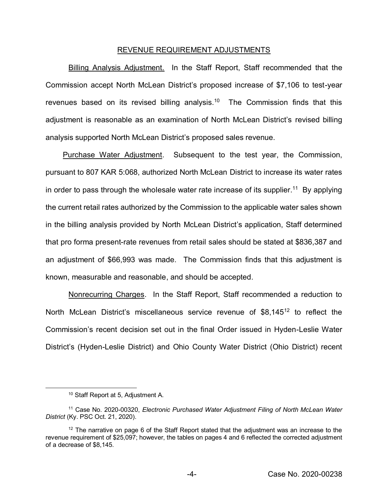#### REVENUE REQUIREMENT ADJUSTMENTS

Billing Analysis Adjustment. In the Staff Report, Staff recommended that the Commission accept North McLean District's proposed increase of \$7,106 to test-year revenues based on its revised billing analysis.<sup>10</sup> The Commission finds that this adjustment is reasonable as an examination of North McLean District's revised billing analysis supported North McLean District's proposed sales revenue.

Purchase Water Adjustment. Subsequent to the test year, the Commission, pursuant to 807 KAR 5:068, authorized North McLean District to increase its water rates in order to pass through the wholesale water rate increase of its supplier.<sup>11</sup> By applying the current retail rates authorized by the Commission to the applicable water sales shown in the billing analysis provided by North McLean District's application, Staff determined that pro forma present-rate revenues from retail sales should be stated at \$836,387 and an adjustment of \$66,993 was made. The Commission finds that this adjustment is known, measurable and reasonable, and should be accepted.

Nonrecurring Charges. In the Staff Report, Staff recommended a reduction to North McLean District's miscellaneous service revenue of \$8,145<sup>12</sup> to reflect the Commission's recent decision set out in the final Order issued in Hyden-Leslie Water District's (Hyden-Leslie District) and Ohio County Water District (Ohio District) recent

 <sup>10</sup> Staff Report at 5, Adjustment A.

<sup>11</sup> Case No. 2020-00320, *Electronic Purchased Water Adjustment Filing of North McLean Water District* (Ky. PSC Oct. 21, 2020).

 $12$  The narrative on page 6 of the Staff Report stated that the adjustment was an increase to the revenue requirement of \$25,097; however, the tables on pages 4 and 6 reflected the corrected adjustment of a decrease of \$8,145.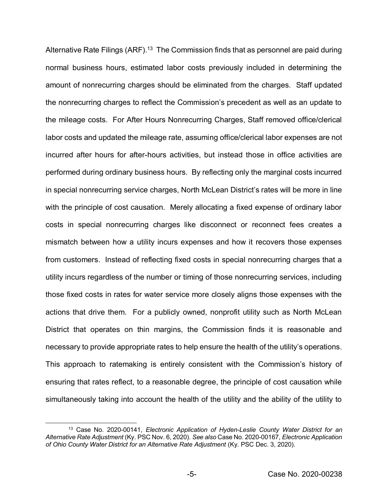Alternative Rate Filings (ARF).<sup>13</sup> The Commission finds that as personnel are paid during normal business hours, estimated labor costs previously included in determining the amount of nonrecurring charges should be eliminated from the charges. Staff updated the nonrecurring charges to reflect the Commission's precedent as well as an update to the mileage costs. For After Hours Nonrecurring Charges, Staff removed office/clerical labor costs and updated the mileage rate, assuming office/clerical labor expenses are not incurred after hours for after-hours activities, but instead those in office activities are performed during ordinary business hours. By reflecting only the marginal costs incurred in special nonrecurring service charges, North McLean District's rates will be more in line with the principle of cost causation. Merely allocating a fixed expense of ordinary labor costs in special nonrecurring charges like disconnect or reconnect fees creates a mismatch between how a utility incurs expenses and how it recovers those expenses from customers. Instead of reflecting fixed costs in special nonrecurring charges that a utility incurs regardless of the number or timing of those nonrecurring services, including those fixed costs in rates for water service more closely aligns those expenses with the actions that drive them. For a publicly owned, nonprofit utility such as North McLean District that operates on thin margins, the Commission finds it is reasonable and necessary to provide appropriate rates to help ensure the health of the utility's operations. This approach to ratemaking is entirely consistent with the Commission's history of ensuring that rates reflect, to a reasonable degree, the principle of cost causation while simultaneously taking into account the health of the utility and the ability of the utility to

 <sup>13</sup> Case No. 2020-00141, *Electronic Application of Hyden-Leslie County Water District for an Alternative Rate Adjustment* (Ky. PSC Nov. 6, 2020). *See also* Case No. 2020-00167, *Electronic Application of Ohio County Water District for an Alternative Rate Adjustment* (Ky. PSC Dec. 3, 2020).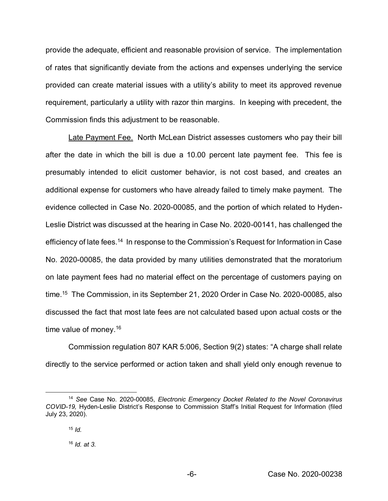provide the adequate, efficient and reasonable provision of service. The implementation of rates that significantly deviate from the actions and expenses underlying the service provided can create material issues with a utility's ability to meet its approved revenue requirement, particularly a utility with razor thin margins. In keeping with precedent, the Commission finds this adjustment to be reasonable.

Late Payment Fee. North McLean District assesses customers who pay their bill after the date in which the bill is due a 10.00 percent late payment fee. This fee is presumably intended to elicit customer behavior, is not cost based, and creates an additional expense for customers who have already failed to timely make payment. The evidence collected in Case No. 2020-00085, and the portion of which related to Hyden-Leslie District was discussed at the hearing in Case No. 2020-00141, has challenged the efficiency of late fees.14 In response to the Commission's Request for Information in Case No. 2020-00085, the data provided by many utilities demonstrated that the moratorium on late payment fees had no material effect on the percentage of customers paying on time.15 The Commission, in its September 21, 2020 Order in Case No. 2020-00085, also discussed the fact that most late fees are not calculated based upon actual costs or the time value of money.<sup>16</sup>

Commission regulation 807 KAR 5:006, Section 9(2) states: "A charge shall relate directly to the service performed or action taken and shall yield only enough revenue to

 <sup>14</sup> *See* Case No. 2020-00085, *Electronic Emergency Docket Related to the Novel Coronavirus COVID-19,* Hyden-Leslie District's Response to Commission Staff's Initial Request for Information (filed July 23, 2020).

 $15$  *Id.* 

<sup>16</sup> *Id. at 3.*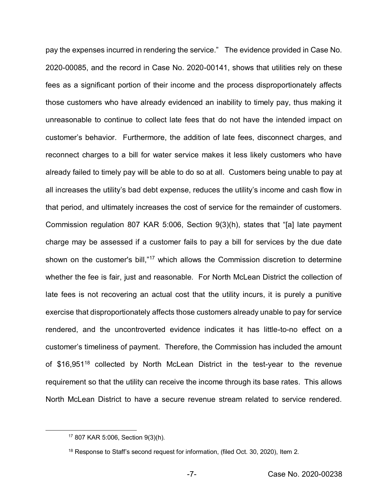pay the expenses incurred in rendering the service." The evidence provided in Case No. 2020-00085, and the record in Case No. 2020-00141, shows that utilities rely on these fees as a significant portion of their income and the process disproportionately affects those customers who have already evidenced an inability to timely pay, thus making it unreasonable to continue to collect late fees that do not have the intended impact on customer's behavior. Furthermore, the addition of late fees, disconnect charges, and reconnect charges to a bill for water service makes it less likely customers who have already failed to timely pay will be able to do so at all. Customers being unable to pay at all increases the utility's bad debt expense, reduces the utility's income and cash flow in that period, and ultimately increases the cost of service for the remainder of customers. Commission regulation 807 KAR 5:006, Section 9(3)(h), states that "[a] late payment charge may be assessed if a customer fails to pay a bill for services by the due date shown on the customer's bill,"<sup>17</sup> which allows the Commission discretion to determine whether the fee is fair, just and reasonable. For North McLean District the collection of late fees is not recovering an actual cost that the utility incurs, it is purely a punitive exercise that disproportionately affects those customers already unable to pay for service rendered, and the uncontroverted evidence indicates it has little-to-no effect on a customer's timeliness of payment. Therefore, the Commission has included the amount of \$16,951<sup>18</sup> collected by North McLean District in the test-year to the revenue requirement so that the utility can receive the income through its base rates. This allows North McLean District to have a secure revenue stream related to service rendered.

 <sup>17</sup> 807 KAR 5:006, Section 9(3)(h).

<sup>&</sup>lt;sup>18</sup> Response to Staff's second request for information, (filed Oct. 30, 2020), Item 2.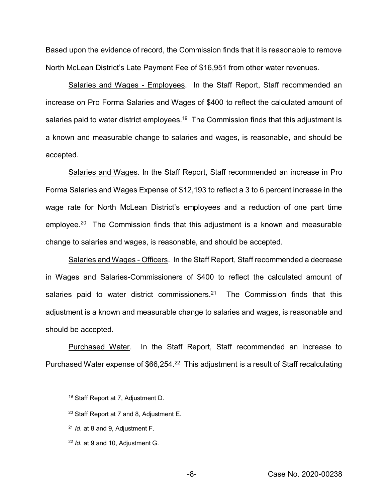Based upon the evidence of record, the Commission finds that it is reasonable to remove North McLean District's Late Payment Fee of \$16,951 from other water revenues.

Salaries and Wages - Employees. In the Staff Report, Staff recommended an increase on Pro Forma Salaries and Wages of \$400 to reflect the calculated amount of salaries paid to water district employees.<sup>19</sup> The Commission finds that this adjustment is a known and measurable change to salaries and wages, is reasonable, and should be accepted.

Salaries and Wages. In the Staff Report, Staff recommended an increase in Pro Forma Salaries and Wages Expense of \$12,193 to reflect a 3 to 6 percent increase in the wage rate for North McLean District's employees and a reduction of one part time employee. 20 The Commission finds that this adjustment is a known and measurable change to salaries and wages, is reasonable, and should be accepted.

Salaries and Wages - Officers. In the Staff Report, Staff recommended a decrease in Wages and Salaries-Commissioners of \$400 to reflect the calculated amount of salaries paid to water district commissioners.<sup>21</sup> The Commission finds that this adjustment is a known and measurable change to salaries and wages, is reasonable and should be accepted.

Purchased Water. In the Staff Report, Staff recommended an increase to Purchased Water expense of \$66,254.<sup>22</sup> This adjustment is a result of Staff recalculating

- <sup>20</sup> Staff Report at 7 and 8, Adjustment E.
- <sup>21</sup> *Id*. at 8 and 9, Adjustment F.

 <sup>19</sup> Staff Report at 7, Adjustment D.

<sup>22</sup> *Id.* at 9 and 10, Adjustment G.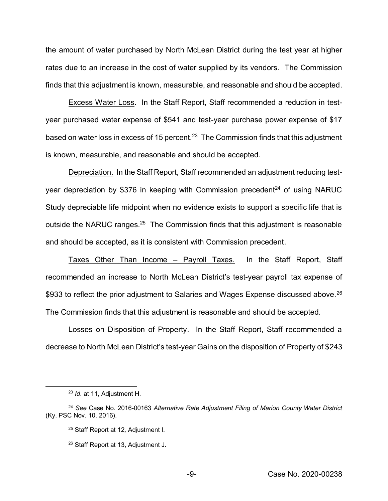the amount of water purchased by North McLean District during the test year at higher rates due to an increase in the cost of water supplied by its vendors. The Commission finds that this adjustment is known, measurable, and reasonable and should be accepted.

Excess Water Loss. In the Staff Report, Staff recommended a reduction in testyear purchased water expense of \$541 and test-year purchase power expense of \$17 based on water loss in excess of 15 percent.<sup>23</sup> The Commission finds that this adjustment is known, measurable, and reasonable and should be accepted.

Depreciation. In the Staff Report, Staff recommended an adjustment reducing testyear depreciation by \$376 in keeping with Commission precedent<sup>24</sup> of using NARUC Study depreciable life midpoint when no evidence exists to support a specific life that is outside the NARUC ranges.<sup>25</sup> The Commission finds that this adjustment is reasonable and should be accepted, as it is consistent with Commission precedent.

Taxes Other Than Income – Payroll Taxes. In the Staff Report, Staff recommended an increase to North McLean District's test-year payroll tax expense of \$933 to reflect the prior adjustment to Salaries and Wages Expense discussed above.<sup>26</sup> The Commission finds that this adjustment is reasonable and should be accepted.

Losses on Disposition of Property. In the Staff Report, Staff recommended a decrease to North McLean District's test-year Gains on the disposition of Property of \$243

 <sup>23</sup> *Id*. at 11, Adjustment H.

<sup>24</sup> *See* Case No. 2016-00163 *Alternative Rate Adjustment Filing of Marion County Water District* (Ky. PSC Nov. 10. 2016).

<sup>25</sup> Staff Report at 12*,* Adjustment I.

<sup>26</sup> Staff Report at 13, Adjustment J.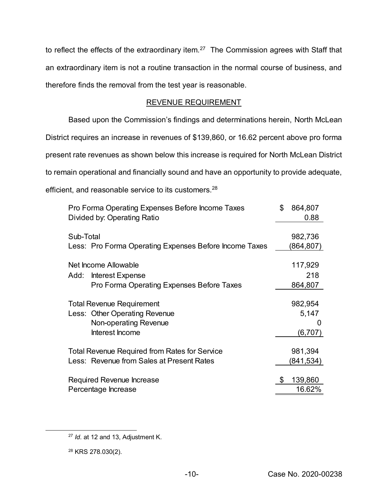to reflect the effects of the extraordinary item.<sup>27</sup> The Commission agrees with Staff that an extraordinary item is not a routine transaction in the normal course of business, and therefore finds the removal from the test year is reasonable.

## REVENUE REQUIREMENT

Based upon the Commission's findings and determinations herein, North McLean District requires an increase in revenues of \$139,860, or 16.62 percent above pro forma present rate revenues as shown below this increase is required for North McLean District to remain operational and financially sound and have an opportunity to provide adequate, efficient, and reasonable service to its customers.<sup>28</sup>

| Pro Forma Operating Expenses Before Income Taxes<br>Divided by: Operating Ratio | \$<br>864,807<br>0.88 |
|---------------------------------------------------------------------------------|-----------------------|
| Sub-Total                                                                       | 982,736               |
| Less: Pro Forma Operating Expenses Before Income Taxes                          | (864,807)             |
| Net Income Allowable                                                            | 117,929               |
| Interest Expense<br>Add:                                                        | 218                   |
| Pro Forma Operating Expenses Before Taxes                                       | 864,807               |
|                                                                                 |                       |
| <b>Total Revenue Requirement</b>                                                | 982,954               |
| Less: Other Operating Revenue                                                   | 5,147                 |
| Non-operating Revenue                                                           | O                     |
| Interest Income                                                                 | (6,707)               |
|                                                                                 |                       |
| <b>Total Revenue Required from Rates for Service</b>                            | 981,394               |
| Less: Revenue from Sales at Present Rates                                       | (841,534)             |
|                                                                                 |                       |
| Required Revenue Increase                                                       | \$<br>139,860         |
| Percentage Increase                                                             | 16.62%                |

 <sup>27</sup> *Id*. at 12 and 13, Adjustment K.

<sup>28</sup> KRS 278.030(2).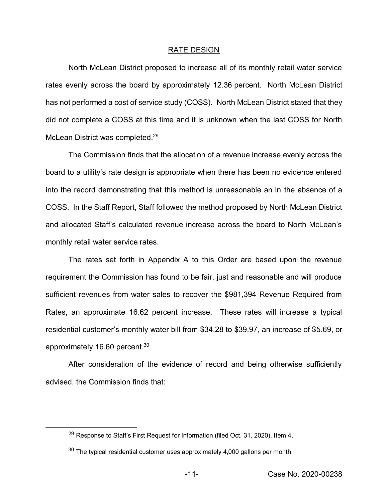#### RATE DESIGN

North McLean District proposed to increase all of its monthly retail water service rates evenly across the board by approximately 12.36 percent. North McLean District has not performed a cost of service study (COSS). North McLean District stated that they did not complete a COSS at this time and it is unknown when the last COSS for North McLean District was completed.<sup>29</sup>

The Commission finds that the allocation of a revenue increase evenly across the board to a utility's rate design is appropriate when there has been no evidence entered into the record demonstrating that this method is unreasonable an in the absence of a COSS. In the Staff Report, Staff followed the method proposed by North McLean District and allocated Staff's calculated revenue increase across the board to North McLean's monthly retail water service rates.

The rates set forth in Appendix A to this Order are based upon the revenue requirement the Commission has found to be fair, just and reasonable and will produce sufficient revenues from water sales to recover the \$981,394 Revenue Required from Rates, an approximate 16.62 percent increase. These rates will increase a typical residential customer's monthly water bill from \$34.28 to \$39.97, an increase of \$5.69, or approximately 16.60 percent.30

After consideration of the evidence of record and being otherwise sufficiently advised, the Commission finds that:

<sup>&</sup>lt;sup>29</sup> Response to Staff's First Request for Information (filed Oct. 31, 2020), Item 4.

 $30$  The typical residential customer uses approximately 4,000 gallons per month.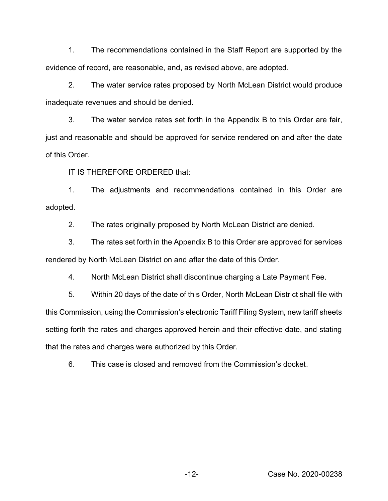1. The recommendations contained in the Staff Report are supported by the evidence of record, are reasonable, and, as revised above, are adopted.

2. The water service rates proposed by North McLean District would produce inadequate revenues and should be denied.

3. The water service rates set forth in the Appendix B to this Order are fair, just and reasonable and should be approved for service rendered on and after the date of this Order.

IT IS THEREFORE ORDERED that:

1. The adjustments and recommendations contained in this Order are adopted.

2. The rates originally proposed by North McLean District are denied.

3. The rates set forth in the Appendix B to this Order are approved for services rendered by North McLean District on and after the date of this Order.

4. North McLean District shall discontinue charging a Late Payment Fee.

5. Within 20 days of the date of this Order, North McLean District shall file with this Commission, using the Commission's electronic Tariff Filing System, new tariff sheets setting forth the rates and charges approved herein and their effective date, and stating that the rates and charges were authorized by this Order.

6. This case is closed and removed from the Commission's docket.

-12- Case No. 2020-00238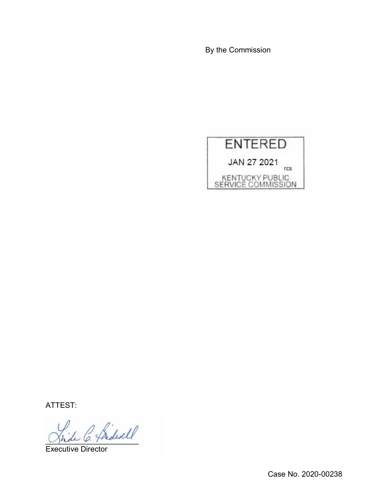By the Commission



ATTEST:

\_\_\_\_\_\_\_\_\_\_\_\_\_\_\_\_\_\_\_\_\_\_

Executive Director

Case No. 2020-00238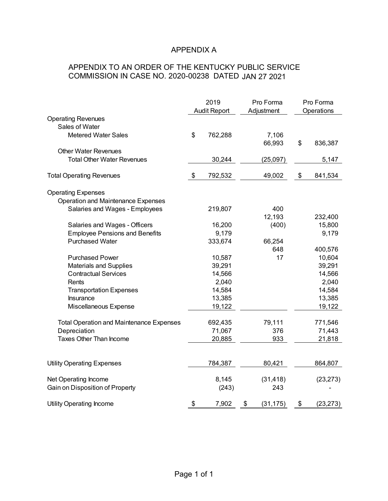# APPENDIX A

# APPENDIX TO AN ORDER OF THE KENTUCKY PUBLIC SERVICE COMMISSION IN CASE NO. 2020-00238 DATED JAN 27 2021

|                                                 | 2019<br>Audit Report |         | Pro Forma<br>Adjustment | Pro Forma<br>Operations |           |
|-------------------------------------------------|----------------------|---------|-------------------------|-------------------------|-----------|
| <b>Operating Revenues</b>                       |                      |         |                         |                         |           |
| Sales of Water                                  |                      |         |                         |                         |           |
| <b>Metered Water Sales</b>                      | \$                   | 762,288 | 7,106<br>66,993         | \$                      | 836,387   |
| <b>Other Water Revenues</b>                     |                      |         |                         |                         |           |
| <b>Total Other Water Revenues</b>               |                      | 30,244  | (25,097)                |                         | 5,147     |
| <b>Total Operating Revenues</b>                 | \$                   | 792,532 | 49,002                  | \$                      | 841,534   |
| <b>Operating Expenses</b>                       |                      |         |                         |                         |           |
| Operation and Maintenance Expenses              |                      |         |                         |                         |           |
| Salaries and Wages - Employees                  |                      | 219,807 | 400                     |                         |           |
|                                                 |                      |         | 12,193                  |                         | 232,400   |
| Salaries and Wages - Officers                   |                      | 16,200  | (400)                   |                         | 15,800    |
| <b>Employee Pensions and Benefits</b>           |                      | 9,179   |                         |                         | 9,179     |
| <b>Purchased Water</b>                          |                      | 333,674 | 66,254                  |                         |           |
|                                                 |                      |         | 648                     |                         | 400,576   |
| <b>Purchased Power</b>                          |                      | 10,587  | 17                      |                         | 10,604    |
| <b>Materials and Supplies</b>                   |                      | 39,291  |                         |                         | 39,291    |
| <b>Contractual Services</b>                     |                      | 14,566  |                         |                         | 14,566    |
| Rents                                           |                      | 2,040   |                         |                         | 2,040     |
| <b>Transportation Expenses</b>                  |                      | 14,584  |                         |                         | 14,584    |
| Insurance                                       |                      | 13,385  |                         |                         | 13,385    |
| Miscellaneous Expense                           |                      | 19,122  |                         |                         | 19,122    |
| <b>Total Operation and Maintenance Expenses</b> |                      | 692,435 | 79,111                  |                         | 771,546   |
| Depreciation                                    |                      | 71,067  | 376                     |                         | 71,443    |
| Taxes Other Than Income                         |                      | 20,885  | 933                     |                         | 21,818    |
|                                                 |                      |         |                         |                         |           |
| <b>Utility Operating Expenses</b>               |                      | 784,387 | 80,421                  |                         | 864,807   |
| Net Operating Income                            |                      | 8,145   | (31, 418)               |                         | (23, 273) |
| Gain on Disposition of Property                 |                      | (243)   | 243                     |                         |           |
| <b>Utility Operating Income</b>                 | \$                   | 7,902   | \$<br>(31, 175)         | \$                      | (23, 273) |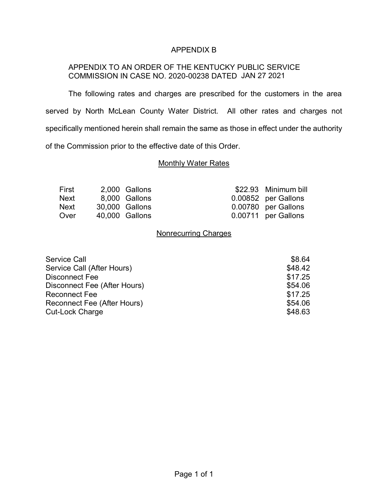## APPENDIX B

## APPENDIX TO AN ORDER OF THE KENTUCKY PUBLIC SERVICE COMMISSION IN CASE NO. 2020-00238 DATED JAN 27 2021

The following rates and charges are prescribed for the customers in the area served by North McLean County Water District. All other rates and charges not specifically mentioned herein shall remain the same as those in effect under the authority of the Commission prior to the effective date of this Order.

## **Monthly Water Rates**

| First | 2,000 Gallons  | \$22.93 Minimum bill |
|-------|----------------|----------------------|
| Next  | 8,000 Gallons  | 0.00852 per Gallons  |
| Next  | 30,000 Gallons | 0.00780 per Gallons  |
| Over  | 40,000 Gallons | 0.00711 per Gallons  |

## Nonrecurring Charges

| <b>Service Call</b>          | \$8.64  |
|------------------------------|---------|
| Service Call (After Hours)   | \$48.42 |
| Disconnect Fee               | \$17.25 |
| Disconnect Fee (After Hours) | \$54.06 |
| <b>Reconnect Fee</b>         | \$17.25 |
| Reconnect Fee (After Hours)  | \$54.06 |
| <b>Cut-Lock Charge</b>       | \$48.63 |